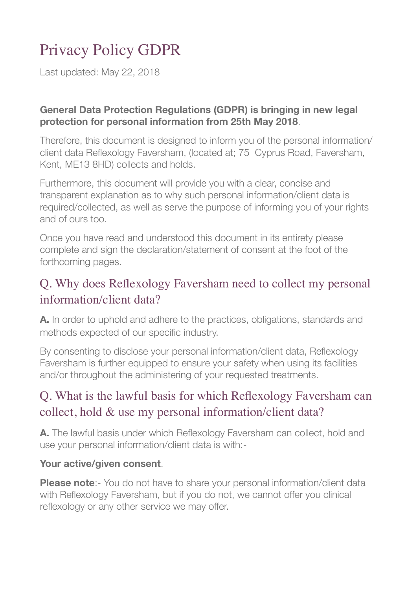# Privacy Policy GDPR

Last updated: May 22, 2018

#### **General Data Protection Regulations (GDPR) is bringing in new legal protection for personal information from 25th May 2018**.

Therefore, this document is designed to inform you of the personal information/ client data Reflexology Faversham, (located at; 75 Cyprus Road, Faversham, Kent, ME13 8HD) collects and holds.

Furthermore, this document will provide you with a clear, concise and transparent explanation as to why such personal information/client data is required/collected, as well as serve the purpose of informing you of your rights and of ours too.

Once you have read and understood this document in its entirety please complete and sign the declaration/statement of consent at the foot of the forthcoming pages.

# Q. Why does Reflexology Faversham need to collect my personal information/client data?

**A.** In order to uphold and adhere to the practices, obligations, standards and methods expected of our specific industry.

By consenting to disclose your personal information/client data, Reflexology Faversham is further equipped to ensure your safety when using its facilities and/or throughout the administering of your requested treatments.

# Q. What is the lawful basis for which Reflexology Faversham can collect, hold & use my personal information/client data?

**A.** The lawful basis under which Reflexology Faversham can collect, hold and use your personal information/client data is with:-

#### **Your active/given consent**.

**Please note**:- You do not have to share your personal information/client data with Reflexology Faversham, but if you do not, we cannot offer you clinical reflexology or any other service we may offer.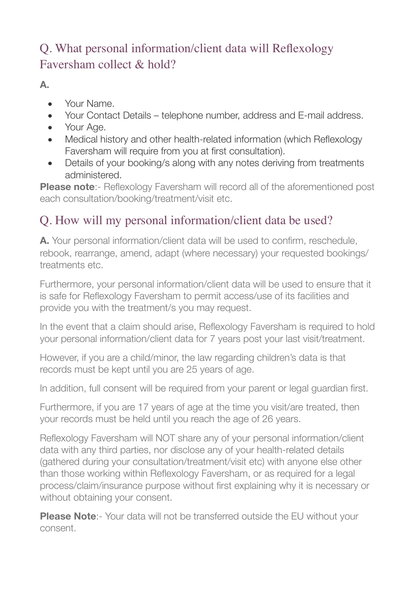# Q. What personal information/client data will Reflexology Faversham collect & hold?

**A.**

- Your Name.
- Your Contact Details telephone number, address and E-mail address.
- Your Age.
- Medical history and other health-related information (which Reflexology Faversham will require from you at first consultation).
- Details of your booking/s along with any notes deriving from treatments administered.

**Please note**:- Reflexology Faversham will record all of the aforementioned post each consultation/booking/treatment/visit etc.

# Q. How will my personal information/client data be used?

**A.** Your personal information/client data will be used to confirm, reschedule, rebook, rearrange, amend, adapt (where necessary) your requested bookings/ treatments etc.

Furthermore, your personal information/client data will be used to ensure that it is safe for Reflexology Faversham to permit access/use of its facilities and provide you with the treatment/s you may request.

In the event that a claim should arise, Reflexology Faversham is required to hold your personal information/client data for 7 years post your last visit/treatment.

However, if you are a child/minor, the law regarding children's data is that records must be kept until you are 25 years of age.

In addition, full consent will be required from your parent or legal guardian first.

Furthermore, if you are 17 years of age at the time you visit/are treated, then your records must be held until you reach the age of 26 years.

Reflexology Faversham will NOT share any of your personal information/client data with any third parties, nor disclose any of your health-related details (gathered during your consultation/treatment/visit etc) with anyone else other than those working within Reflexology Faversham, or as required for a legal process/claim/insurance purpose without first explaining why it is necessary or without obtaining your consent.

**Please Note**:- Your data will not be transferred outside the EU without your consent.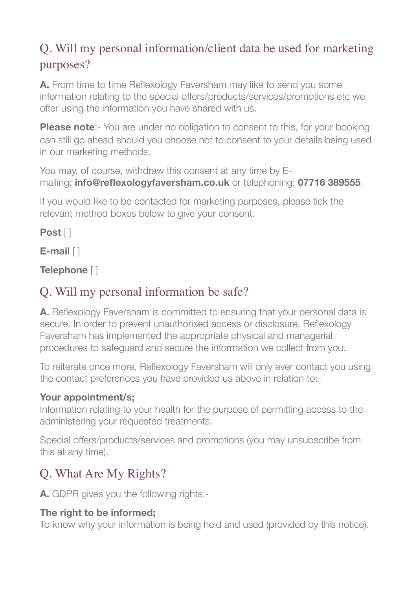# Q. Will my personal information/client data be used for marketing purposes?

**A.** From time to time Reflexology Faversham may like to send you some information relating to the special offers/products/services/promotions etc we offer using the information you have shared with us.

**Please note**:- You are under no obligation to consent to this, for your booking can still go ahead should you choose not to consent to your details being used in our marketing methods.

You may, of course, withdraw this consent at any time by Emailing; **info@reflexologyfaversham.co.uk** or telephoning; **07716 389555**.

If you would like to be contacted for marketing purposes, please tick the relevant method boxes below to give your consent.

### **Post** [ ]

**E-mail** [ ]

**Telephone** [ ]

# Q. Will my personal information be safe?

**A.** Reflexology Faversham is committed to ensuring that your personal data is secure. In order to prevent unauthorised access or disclosure, Reflexology Faversham has implemented the appropriate physical and managerial procedures to safeguard and secure the information we collect from you.

To reiterate once more, Reflexology Faversham will only ever contact you using the contact preferences you have provided us above in relation to:-

### **Your appointment/s;**

Information relating to your health for the purpose of permitting access to the administering your requested treatments.

Special offers/products/services and promotions (you may unsubscribe from this at any time).

# Q. What Are My Rights?

**A.** GDPR gives you the following rights:-

### **The right to be informed;**

To know why your information is being held and used (provided by this notice).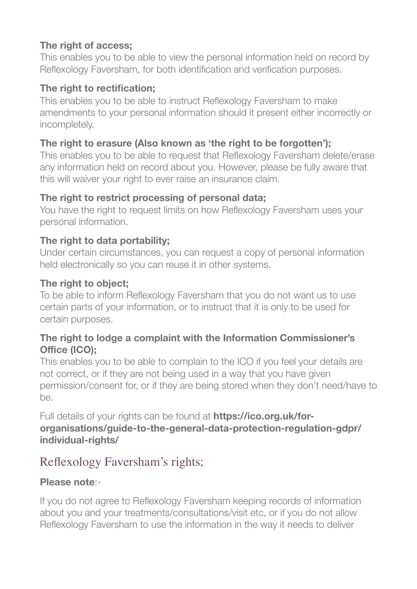### **The right of access;**

This enables you to be able to view the personal information held on record by Reflexology Faversham, for both identification and verification purposes.

### **The right to rectification;**

This enables you to be able to instruct Reflexology Faversham to make amendments to your personal information should it present either incorrectly or incompletely.

### **The right to erasure (Also known as 'the right to be forgotten');**

This enables you to be able to request that Reflexology Faversham delete/erase any information held on record about you. However, please be fully aware that this will waiver your right to ever raise an insurance claim.

### **The right to restrict processing of personal data;**

You have the right to request limits on how Reflexology Faversham uses your personal information.

### **The right to data portability;**

Under certain circumstances, you can request a copy of personal information held electronically so you can reuse it in other systems.

#### **The right to object;**

To be able to inform Reflexology Faversham that you do not want us to use certain parts of your information, or to instruct that it is only to be used for certain purposes.

#### **The right to lodge a complaint with the Information Commissioner's Office (ICO);**

This enables you to be able to complain to the ICO if you feel your details are not correct, or if they are not being used in a way that you have given permission/consent for, or if they are being stored when they don't need/have to be.

Full details of your rights can be found at **https://ico.org.uk/fororganisations/guide-to-the-general-data-protection-regulation-gdpr/ individual-rights/**

# Reflexology Faversham's rights;

#### **Please note**:-

If you do not agree to Reflexology Faversham keeping records of information about you and your treatments/consultations/visit etc, or if you do not allow Reflexology Faversham to use the information in the way it needs to deliver